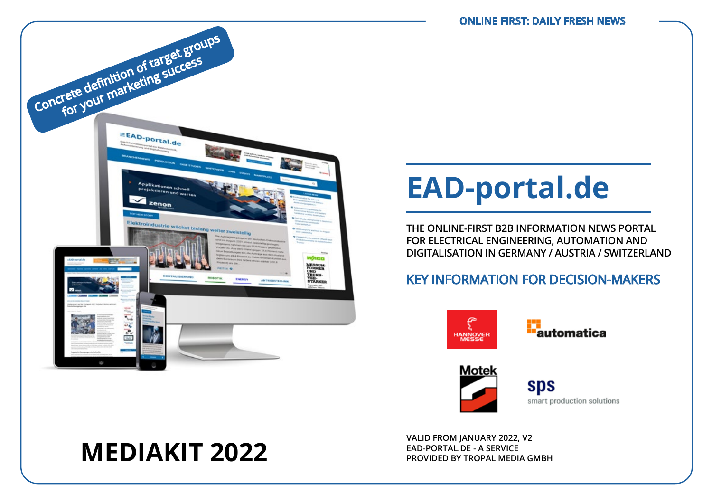

# **EAD-portal.de**

**THE ONLINE-FIRST B2B INFORMATION NEWS PORTAL FOR ELECTRICAL ENGINEERING, AUTOMATION AND DIGITALISATION IN GERMANY / AUSTRIA / SWITZERLAND**

## KEY INFORMATION FOR DECISION-MAKERS







**sps** smart production solutions

# **MEDIAKIT 2022**

**VALID FROM JANUARY 2022, V2 EAD-PORTAL.DE - A SERVICE PROVIDED BY TROPAL MEDIA GMBH**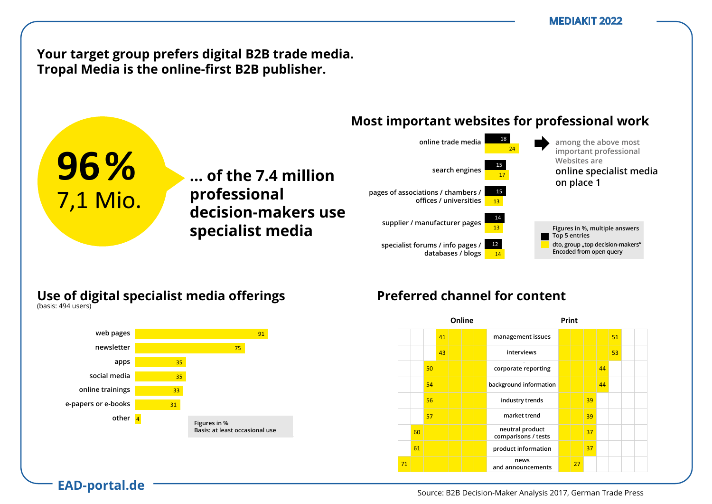**Your target group prefers digital B2B trade media.** Tropal Media is the online-first B2B publisher.

**… der 7,4 Mio. ... of the 7.4 million** 

**Entscheider**  80 **decision-makers use** 

**Professionellen professional** 

#### **Most important websites for professional work** vertreterninger instituten t websites for prof



### **Use of digital specialist media offerings** Nutzung digitaler Fachmedien-Angebote

**nutzung ließen Fachmedien Specialist media** 

**B2B-Entscheides**<br>B2B-Bisse 2017, *B*2B-Bisse *B*  $(Na)$ sis.  $474$  users)

1 7,1 Mio.

am Arbeitsplatz

zu Hause

(Basis: 502 Nutzer)

(Basis: 494 Nutzer)

**96%**

**EAD-portal.de**



## Preferred channel for content

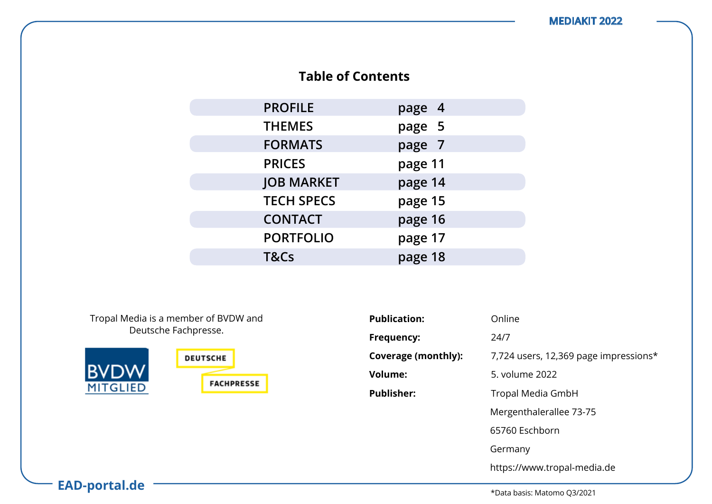## **Table of Contents**

| <b>PROFILE</b>    | page 4  |
|-------------------|---------|
| <b>THEMES</b>     | page 5  |
| <b>FORMATS</b>    | page 7  |
| <b>PRICES</b>     | page 11 |
| <b>JOB MARKET</b> | page 14 |
| <b>TECH SPECS</b> | page 15 |
| <b>CONTACT</b>    | page 16 |
| <b>PORTFOLIO</b>  | page 17 |
| T&Cs              | page 18 |

Tropal Media is a member of BVDW and Deutsche Fachpresse.



| <b>Publication:</b> | Online                                |
|---------------------|---------------------------------------|
| Frequency:          | 24/7                                  |
| Coverage (monthly): | 7,724 users, 12,369 page impressions* |
| <b>Volume:</b>      | 5. volume 2022                        |
| <b>Publisher:</b>   | Tropal Media GmbH                     |
|                     | Mergenthalerallee 73-75               |
|                     | 65760 Eschborn                        |
|                     | Germany                               |
|                     | https://www.tropal-media.de           |

**EAD-portal.de**

\*Data basis: Matomo Q3/2021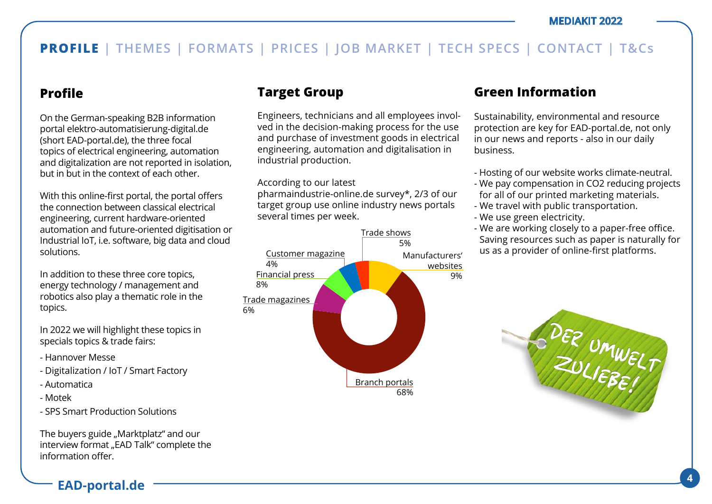## **Profile**

On the German-speaking B2B information portal elektro-automatisierung-digital.de (short EAD-portal.de), the three focal topics of electrical engineering, automation and digitalization are not reported in isolation, but in but in the context of each other.

With this online-first portal, the portal offers the connection between classical electrical engineering, current hardware-oriented automation and future-oriented digitisation or Industrial IoT, i.e. software, big data and cloud solutions.

In addition to these three core topics, energy technology / management and robotics also play a thematic role in the topics.

In 2022 we will highlight these topics in specials topics & trade fairs:

- Hannover Messe
- Digitalization / IoT / Smart Factory
- Automatica
- Motek
- SPS Smart Production Solutions

The buyers guide "Marktplatz" and our interview format "EAD Talk" complete the information offer.

## **Target Group**

Engineers, technicians and all employees involved in the decision-making process for the use and purchase of investment goods in electrical engineering, automation and digitalisation in industrial production.

### According to our latest

pharmaindustrie-online.de survey\*, 2/3 of our target group use online industry news portals several times per week.



## **Green Information**

Sustainability, environmental and resource protection are key for EAD-portal.de, not only in our news and reports - also in our daily business.

- Hosting of our website works climate-neutral.
- We pay compensation in CO2 reducing projects for all of our printed marketing materials.
- We travel with public transportation.
- We use green electricity.
- We are working closely to a paper-free office. Saving resources such as paper is naturally for us as a provider of online-first platforms.

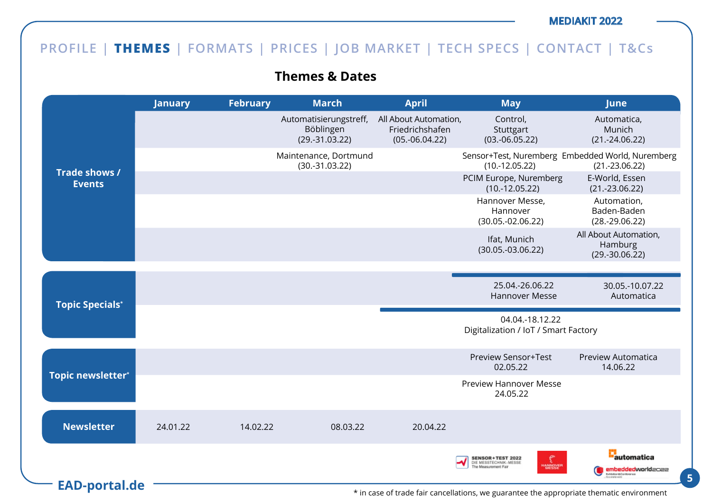## **PROFILE | THEMES | FORMATS | PRICES | JOB MARKET | TECH SPECS | CONTACT | T&Cs**

## **Themes & Dates**

|                                | <b>January</b> | <b>February</b> | <b>March</b>                                            | <b>April</b>                                                 | <b>May</b>                                                                               | June                                                                 |
|--------------------------------|----------------|-----------------|---------------------------------------------------------|--------------------------------------------------------------|------------------------------------------------------------------------------------------|----------------------------------------------------------------------|
|                                |                |                 | Automatisierungstreff,<br>Böblingen<br>$(29.-31.03.22)$ | All About Automation,<br>Friedrichshafen<br>$(05.-06.04.22)$ | Control,<br>Stuttgart<br>$(03.-06.05.22)$                                                | Automatica,<br>Munich<br>$(21.-24.06.22)$                            |
|                                |                |                 | Maintenance, Dortmund<br>$(30.-31.03.22)$               |                                                              | $(10.-12.05.22)$                                                                         | Sensor+Test, Nuremberg Embedded World, Nuremberg<br>$(21.-23.06.22)$ |
| Trade shows /<br><b>Events</b> |                |                 |                                                         |                                                              | PCIM Europe, Nuremberg<br>$(10.-12.05.22)$                                               | E-World, Essen<br>$(21.-23.06.22)$                                   |
|                                |                |                 |                                                         |                                                              | Hannover Messe,<br>Hannover<br>$(30.05.-02.06.22)$                                       | Automation,<br>Baden-Baden<br>$(28.-29.06.22)$                       |
|                                |                |                 |                                                         |                                                              | Ifat, Munich<br>$(30.05.-03.06.22)$                                                      | All About Automation,<br>Hamburg<br>$(29.-30.06.22)$                 |
|                                |                |                 |                                                         |                                                              |                                                                                          |                                                                      |
| <b>Topic Specials*</b>         |                |                 |                                                         |                                                              | 25.04.-26.06.22<br><b>Hannover Messe</b>                                                 | 30.05.-10.07.22<br>Automatica                                        |
|                                |                |                 |                                                         |                                                              | 04.04.-18.12.22<br>Digitalization / IoT / Smart Factory                                  |                                                                      |
|                                |                |                 |                                                         |                                                              | <b>Preview Sensor+Test</b><br>02.05.22                                                   | Preview Automatica<br>14.06.22                                       |
| Topic newsletter*              |                |                 |                                                         |                                                              | <b>Preview Hannover Messe</b><br>24.05.22                                                |                                                                      |
| <b>Newsletter</b>              | 24.01.22       | 14.02.22        | 08.03.22                                                | 20.04.22                                                     |                                                                                          |                                                                      |
|                                |                |                 |                                                         |                                                              | <b>SENSOR+TEST 2022</b><br>DIE MESSTECHNIK-MESSE<br>e Measurement Fair<br><b>IANNOVE</b> | <b>E</b> automatica<br>embeddedworldacaa                             |
| <b>EAD-portal.de</b>           |                |                 |                                                         |                                                              | * in case of trade fair cancellations, we guarantee the appropriate thematic environment |                                                                      |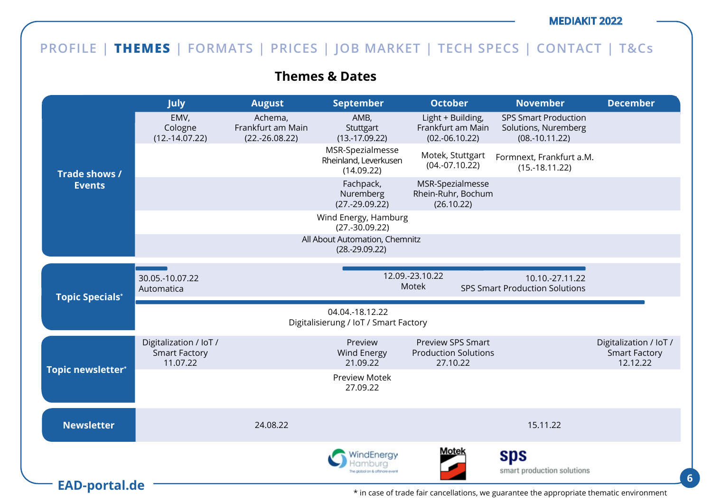## **PROFILE | THEMES | FORMATS | PRICES | JOB MARKET | TECH SPECS | CONTACT | T&Cs**

**Themes & Dates**

|                        | <b>July</b>                                                | <b>August</b>                                    | <b>September</b>                                         | <b>October</b>                                                      | <b>November</b>                                                         | <b>December</b>                                            |
|------------------------|------------------------------------------------------------|--------------------------------------------------|----------------------------------------------------------|---------------------------------------------------------------------|-------------------------------------------------------------------------|------------------------------------------------------------|
|                        | EMV,<br>Cologne<br>$(12.-14.07.22)$                        | Achema,<br>Frankfurt am Main<br>$(22.-26.08.22)$ | AMB,<br>Stuttgart<br>$(13.-17.09.22)$                    | Light + Building,<br>Frankfurt am Main<br>$(02.-06.10.22)$          | <b>SPS Smart Production</b><br>Solutions, Nuremberg<br>$(08.-10.11.22)$ |                                                            |
| Trade shows /          |                                                            |                                                  | MSR-Spezialmesse<br>Rheinland, Leverkusen<br>(14.09.22)  | Motek, Stuttgart<br>$(04.-07.10.22)$                                | Formnext, Frankfurt a.M.<br>$(15.-18.11.22)$                            |                                                            |
| <b>Events</b>          |                                                            |                                                  | Fachpack,<br>Nuremberg<br>$(27.-29.09.22)$               | MSR-Spezialmesse<br>Rhein-Ruhr, Bochum<br>(26.10.22)                |                                                                         |                                                            |
|                        |                                                            |                                                  | Wind Energy, Hamburg<br>$(27.-30.09.22)$                 |                                                                     |                                                                         |                                                            |
|                        |                                                            |                                                  | All About Automation, Chemnitz<br>$(28.-29.09.22)$       |                                                                     |                                                                         |                                                            |
| <b>Topic Specials*</b> | 30.05.-10.07.22<br>Automatica                              |                                                  |                                                          | 12.09.-23.10.22<br>Motek                                            | 10.10.-27.11.22<br><b>SPS Smart Production Solutions</b>                |                                                            |
|                        |                                                            |                                                  | 04.04.-18.12.22<br>Digitalisierung / IoT / Smart Factory |                                                                     |                                                                         |                                                            |
|                        | Digitalization / IoT /<br><b>Smart Factory</b><br>11.07.22 |                                                  | Preview<br><b>Wind Energy</b><br>21.09.22                | <b>Preview SPS Smart</b><br><b>Production Solutions</b><br>27.10.22 |                                                                         | Digitalization / IoT /<br><b>Smart Factory</b><br>12.12.22 |
| Topic newsletter*      |                                                            |                                                  | <b>Preview Motek</b><br>27.09.22                         |                                                                     |                                                                         |                                                            |
|                        |                                                            |                                                  |                                                          |                                                                     |                                                                         |                                                            |
| <b>Newsletter</b>      |                                                            | 24.08.22                                         |                                                          |                                                                     | 15.11.22                                                                |                                                            |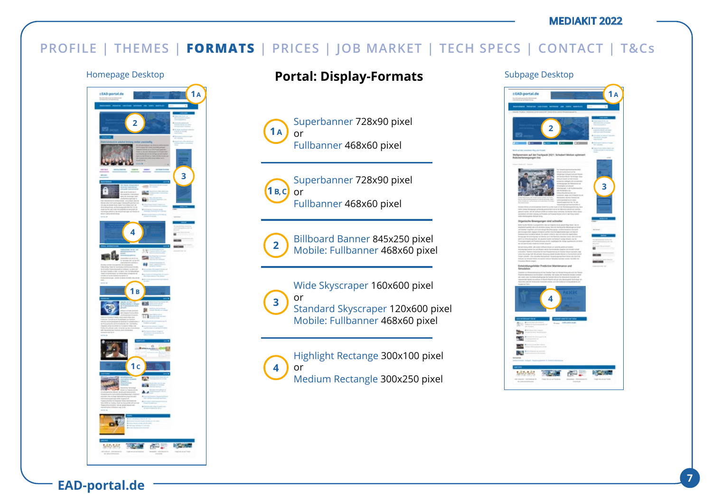## **PROFILE | THEMES | FORMATS | PRICES | JOB MARKET | TECH SPECS | CONTACT | T&Cs**



## Homepage Desktop **Portal: Display-Formats** Subpage Desktop

Superbanner 728x90 pixel or Fullbanner 468x60 pixel **1 A**



Superbanner 728x90 pixel or Fullbanner 468x60 pixel



Billboard Banner 845x250 pixel Mobile: Fullbanner 468x60 pixel

Wide Skyscraper 160x600 pixel or Standard Skyscraper 120x600 pixel Mobile: Fullbanner 468x60 pixel **3**

Highlight Rectange 300x100 pixel or Medium Rectangle 300x250 pixel **4**

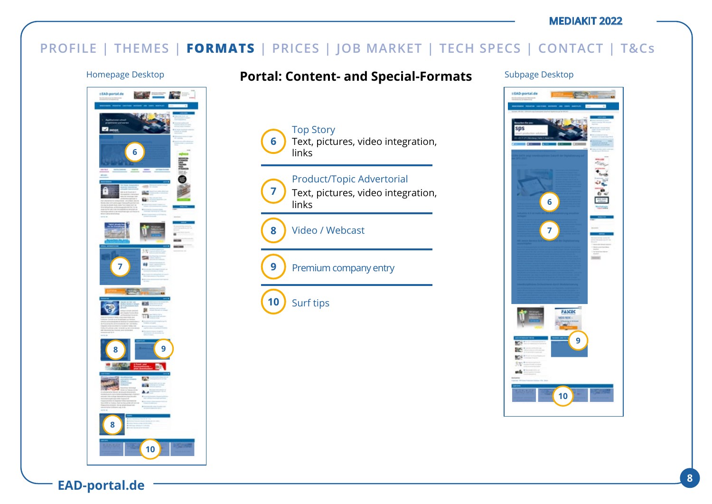## **PROFILE | THEMES | FORMATS | PRICES | JOB MARKET | TECH SPECS | CONTACT | T&Cs**

Top Story

links

**6**

**7**

**9**

**10**

**8**

links

Surf tips

Video / Webcast

Premium company entry



### Homepage Desktop **Fortal: Content- and Special-Formats** Subpage Desktop

Text, pictures, video integration,

Text, pictures, video integration,

Product/Topic Advertorial

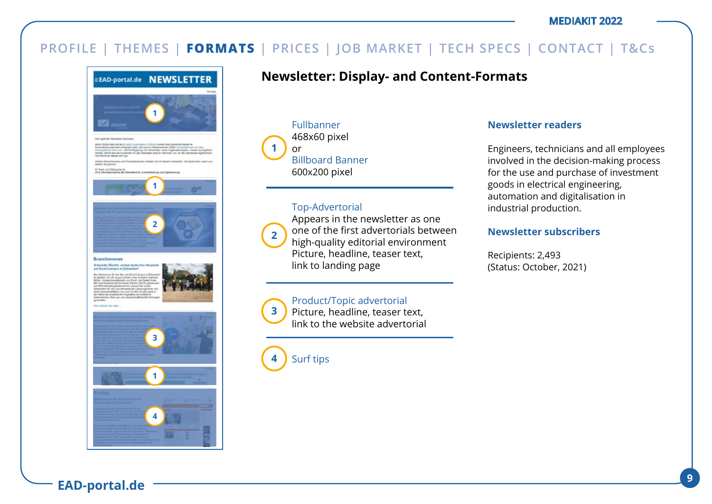

## **Newsletter: Display- and Content-Formats**

Fullbanner 468x60 pixel or Billboard Banner 600x200 pixel **1**

### Top-Advertorial



**3**

Appears in the newsletter as one one of the first advertorials between high-quality editorial environment Picture, headline, teaser text, link to landing page

### Product/Topic advertorial

Picture, headline, teaser text, link to the website advertorial

Surf tips **4**

### **Newsletter readers**

Engineers, technicians and all employees involved in the decision-making process for the use and purchase of investment goods in electrical engineering, automation and digitalisation in industrial production.

### **Newsletter subscribers**

Recipients: 2,493 (Status: October, 2021)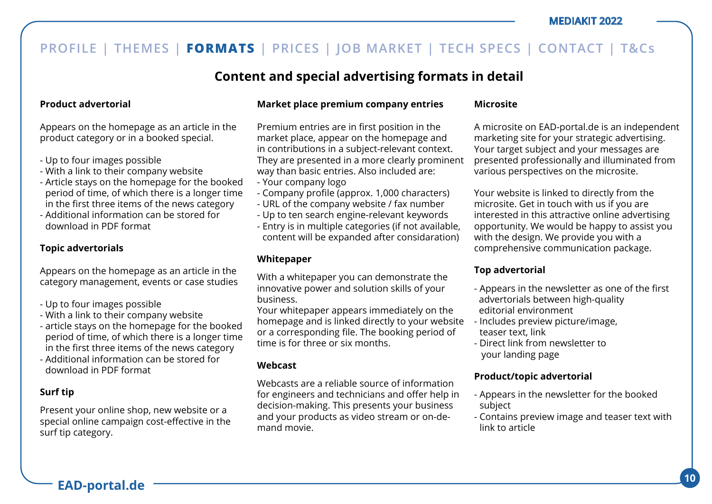## **Content and special advertising formats in detail**

### **Product advertorial**

Appears on the homepage as an article in the product category or in a booked special.

- Up to four images possible
- With a link to their company website
- Article stays on the homepage for the booked period of time, of which there is a longer time in the first three items of the news category
- Additional information can be stored for download in PDF format

### **Topic advertorials**

Appears on the homepage as an article in the category management, events or case studies

- Up to four images possible
- With a link to their company website
- article stays on the homepage for the booked period of time, of which there is a longer time in the first three items of the news category
- Additional information can be stored for download in PDF format

### **Surf tip**

Present your online shop, new website or a special online campaign cost-effective in the surf tip category.

### **Market place premium company entries**

Premium entries are in first position in the market place, appear on the homepage and in contributions in a subject-relevant context. They are presented in a more clearly prominent way than basic entries. Also included are:

- Your company logo
- Company profile (approx. 1,000 characters)
- URL of the company website / fax number
- Up to ten search engine-relevant keywords
- Entry is in multiple categories (if not available, content will be expanded after considaration)

### **Whitepaper**

With a whitepaper you can demonstrate the innovative power and solution skills of your business.

Your whitepaper appears immediately on the homepage and is linked directly to your website or a corresponding file. The booking period of time is for three or six months.

### **Webcast**

Webcasts are a reliable source of information for engineers and technicians and offer help in decision-making. This presents your business and your products as video stream or on-demand movie.

#### **Microsite**

A microsite on EAD-portal.de is an independent marketing site for your strategic advertising. Your target subject and your messages are presented professionally and illuminated from various perspectives on the microsite.

Your website is linked to directly from the microsite. Get in touch with us if you are interested in this attractive online advertising opportunity. We would be happy to assist you with the design. We provide you with a comprehensive communication package.

### **Top advertorial**

- Appears in the newsletter as one of the first advertorials between high-quality editorial environment
- Includes preview picture/image, teaser text, link
- Direct link from newsletter to your landing page

### **Product/topic advertorial**

- Appears in the newsletter for the booked subject
- Contains preview image and teaser text with link to article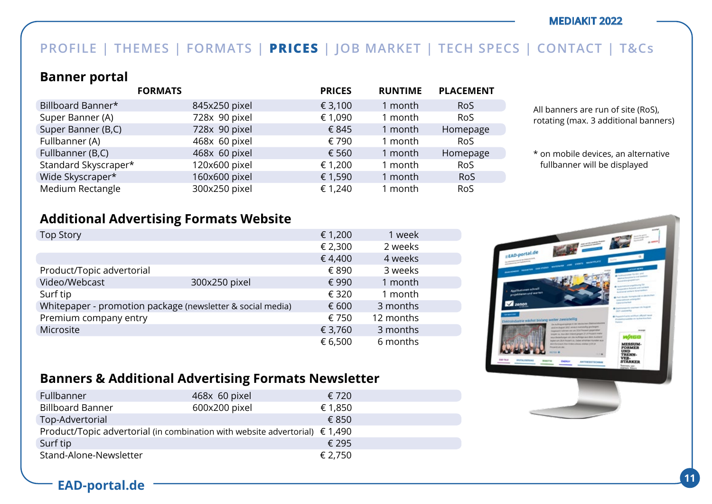## **PROFILE | THEMES | FORMATS | PRICES | JOB MARKET | TECH SPECS | CONTACT | T&Cs**

### **Banner portal**

|                      | <b>FORMATS</b> | <b>PRICES</b> | <b>RUNTIME</b> | <b>PLACEMENT</b> |
|----------------------|----------------|---------------|----------------|------------------|
| Billboard Banner*    | 845x250 pixel  | € 3,100       | 1 month        | <b>RoS</b>       |
| Super Banner (A)     | 728x 90 pixel  | € 1,090       | 1 month        | <b>RoS</b>       |
| Super Banner (B,C)   | 728x 90 pixel  | € 845         | 1 month        | Homepage         |
| Fullbanner (A)       | 468x 60 pixel  | € 790         | 1 month        | <b>RoS</b>       |
| Fullbanner (B,C)     | 468x 60 pixel  | € 560         | 1 month        | Homepage         |
| Standard Skyscraper* | 120x600 pixel  | € 1,200       | 1 month        | <b>RoS</b>       |
| Wide Skyscraper*     | 160x600 pixel  | € 1,590       | 1 month        | <b>RoS</b>       |
| Medium Rectangle     | 300x250 pixel  | € 1,240       | 1 month        | RoS              |

All banners are run of site (RoS), rotating (max. 3 additional banners)

\* on mobile devices, an alternative fullbanner will be displayed

### **Additional Advertising Formats Website**

| <b>Top Story</b>          |                                                            | € 1,200 | 1 week    |  |
|---------------------------|------------------------------------------------------------|---------|-----------|--|
|                           |                                                            | € 2,300 | 2 weeks   |  |
|                           |                                                            | €4,400  | 4 weeks   |  |
| Product/Topic advertorial |                                                            | € 890   | 3 weeks   |  |
| Video/Webcast             | 300x250 pixel                                              | € 990   | 1 month   |  |
| Surf tip                  |                                                            | € 320   | 1 month   |  |
|                           | Whitepaper - promotion package (newsletter & social media) | € 600   | 3 months  |  |
| Premium company entry     |                                                            | € 750   | 12 months |  |
| Microsite                 |                                                            | € 3,760 | 3 months  |  |
|                           |                                                            | € 6,500 | 6 months  |  |



## **Banners & Additional Advertising Formats Newsletter**

| Fullbanner                                                                           | 468x 60 pixel | € 720   |
|--------------------------------------------------------------------------------------|---------------|---------|
| <b>Billboard Banner</b>                                                              | 600x200 pixel | € 1,850 |
| Top-Advertorial                                                                      |               | € 850   |
| Product/Topic advertorial (in combination with website advertorial) $\epsilon$ 1,490 |               |         |
| Surf tip                                                                             |               | € 295   |
| Stand-Alone-Newsletter                                                               |               | € 2,750 |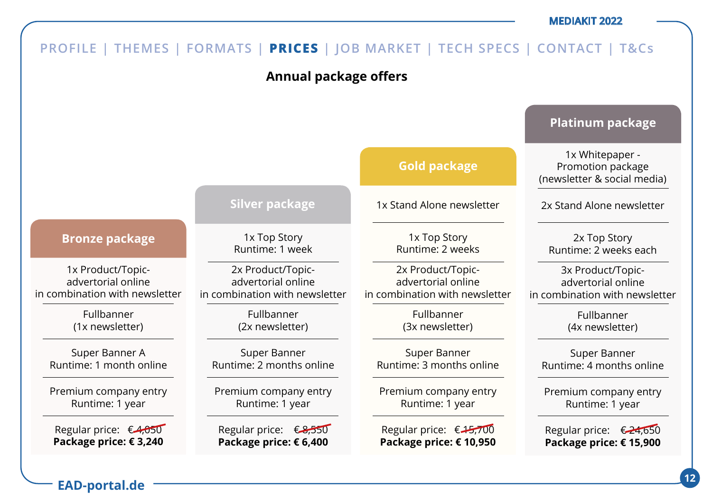

**<sup>12</sup> EAD-portal.de**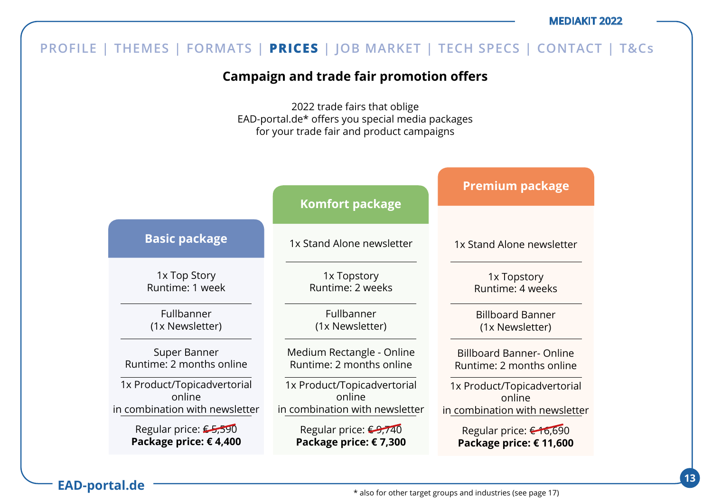#### **Campaign and trade fair promotion offers** 2022 trade fairs that oblige EAD-portal.de\* offers you special media packages for your trade fair and product campaigns 1x Top Story Runtime: 1 week Fullbanner (1x Newsletter) Super Banner Runtime: 2 months online 1x Product/Topicadvertorial online in combination with newsletter Regular price: €5,590 **Package price: € 4,400 Basic package** 1x Stand Alone newsletter 1x Topstory Runtime: 2 weeks Fullbanner (1x Newsletter) Medium Rectangle - Online Runtime: 2 months online 1x Product/Topicadvertorial online in combination with newsletter Regular price: €9,740 **Package price: € 7,300 Komfort package** 1x Stand Alone newsletter 1x Topstory Runtime: 4 weeks Billboard Banner (1x Newsletter) Billboard Banner- Online Runtime: 2 months online 1x Product/Topicadvertorial online in combination with newsletter Regular price: € 16,690 **Package price: € 11,600 Premium package PROFILE | THEMES | FORMATS | PRICES | JOB MARKET | TECH SPECS | CONTACT | T&Cs**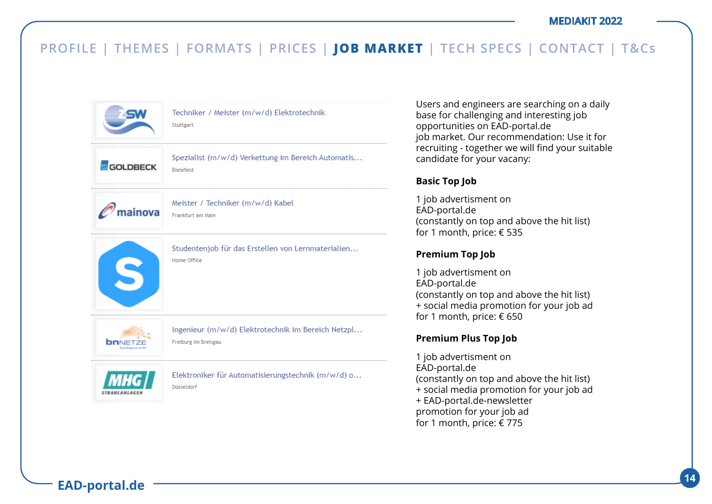

Techniker / Meister (m/w/d) Elektrotechnik Stutteart

**GOLDBECK** 



Spezialist (m/w/d) Verkettung im Bereich Automatis...

Meister / Techniker (m/w/d) Kabel  $\mathscr{O}'$ mainova Frankfurt am Main

**Bielefeld** 



Studentenjob für das Erstellen von Lernmaterialien... Home Office

Ingenieur (m/w/d) Elektrotechnik im Bereich Netzpl... Freiburg im Breisgau



**bnNETZE** 

Elektroniker für Automatisierungstechnik (m/w/d) o... Düsseldorf

Users and engineers are searching on a daily base for challenging and interesting job opportunities on EAD-portal.de job market. Our recommendation: Use it for recruiting - together we will find your suitable candidate for your vacany:

### **Basic Top Job**

1 job advertisment on EAD-portal.de (constantly on top and above the hit list) for 1 month, price: € 535

### **Premium Top Job**

1 job advertisment on EAD-portal.de (constantly on top and above the hit list) + social media promotion for your job ad for 1 month, price: € 650

### **Premium Plus Top Job**

1 job advertisment on EAD-portal.de (constantly on top and above the hit list) + social media promotion for your job ad + EAD-portal.de-newsletter promotion for your job ad for 1 month, price: € 775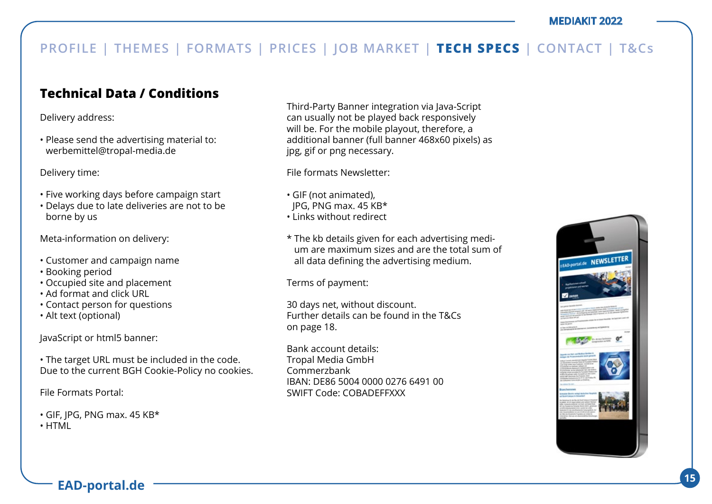## **Technical Data / Conditions**

Delivery address:

• Please send the advertising material to: werbemittel@tropal-media.de

Delivery time:

- Five working days before campaign start
- Delays due to late deliveries are not to be borne by us

Meta-information on delivery:

- Customer and campaign name
- Booking period
- Occupied site and placement
- Ad format and click URL
- Contact person for questions
- Alt text (optional)

JavaScript or html5 banner:

• The target URL must be included in the code. Due to the current BGH Cookie-Policy no cookies.

File Formats Portal:

- GIF, JPG, PNG max. 45 KB\*
- HTML

Third-Party Banner integration via Java-Script can usually not be played back responsively will be. For the mobile playout, therefore, a additional banner (full banner 468x60 pixels) as jpg, gif or png necessary.

File formats Newsletter:

- GIF (not animated),
- JPG, PNG max. 45 KB\*
- Links without redirect
- \* The kb details given for each advertising medium are maximum sizes and are the total sum of all data defining the advertising medium.

Terms of payment:

30 days net, without discount. Further details can be found in the T&Cs on page 18.

Bank account details: Tropal Media GmbH Commerzbank IBAN: DE86 5004 0000 0276 6491 00 SWIFT Code: COBADEFFXXX

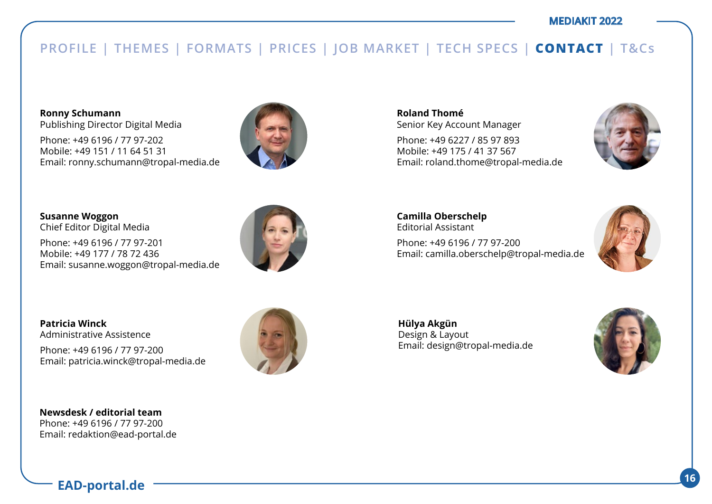## **PROFILE | THEMES | FORMATS | PRICES | JOB MARKET | TECH SPECS | CONTACT | T&Cs**

**Ronny Schumann**  Publishing Director Digital Media

Phone: +49 6196 / 77 97-202 Mobile: +49 151 / 11 64 51 31 Email: ronny.schumann@tropal-media.de



**Susanne Woggon**  Chief Editor Digital Media

Phone: +49 6196 / 77 97-201 Mobile: +49 177 / 78 72 436 Email: susanne.woggon@tropal-media.de



**Patricia Winck** Administrative Assistence

Phone: +49 6196 / 77 97-200 Email: patricia.winck@tropal-media.de





**Roland Thomé** Senior Key Account Manager

Phone: +49 6227 / 85 97 893 Mobile: +49 175 / 41 37 567 Email: roland.thome@tropal-media.de



**Camilla Oberschelp** Editorial Assistant Phone: +49 6196 / 77 97-200 Email: camilla.oberschelp@tropal-media.de



**Hülya Akgün**  Design & Layout Email: design@tropal-media.de

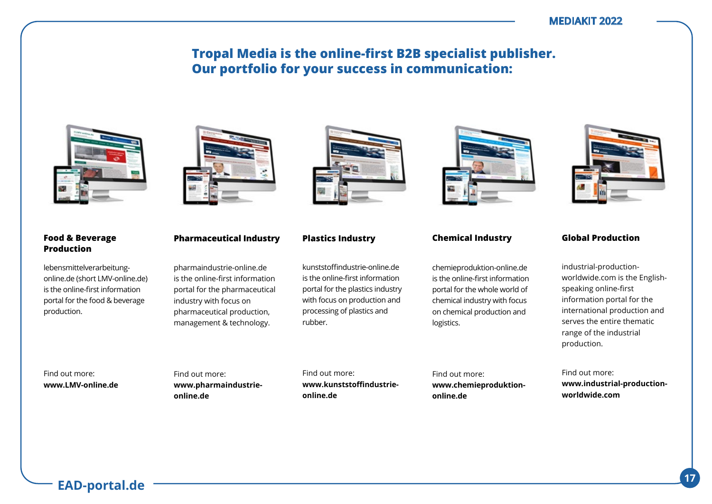## **Tropal Media is the online-first B2B specialist publisher. Our portfolio for your success in communication:**



#### **Food & Beverage Production**

lebensmittelverarbeitungonline.de (short LMV-online.de) is the online-first information portal for the food & beverage production.



### **Pharmaceutical Industry**

pharmaindustrie-online.de is the online-first information portal for the pharmaceutical industry with focus on pharmaceutical production, management & technology.

kunststoffindustrie-online.de is the online-first information portal for the plastics industry with focus on production and processing of plastics and rubber.

**Plastics Industry**

chemieproduktion-online.de is the online-first information portal for the whole world of chemical industry with focus on chemical production and logistics.

**Chemical Industry**



#### **Global Production**

industrial-productionworldwide.com is the Englishspeaking online-first information portal for the international production and serves the entire thematic range of the industrial production.

Find out more: **www.industrial-productionworldwide.com** 

Find out more: **www.LMV-online.de** Find out more: **www.pharmaindustrieonline.de**

Find out more: **www.kunststoffindustrieonline.de**

Find out more: **www.chemieproduktiononline.de**